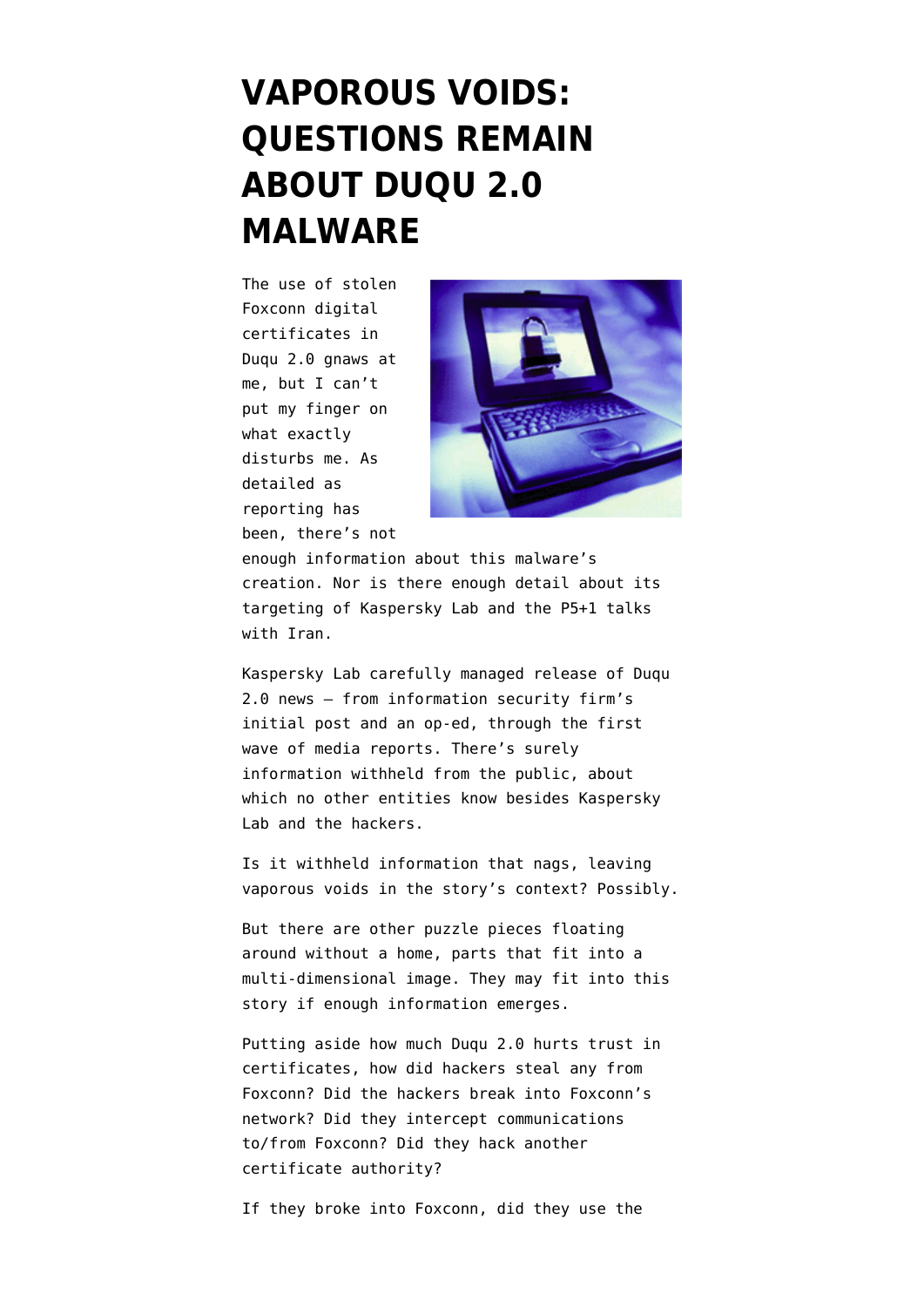## **[VAPOROUS VOIDS:](https://www.emptywheel.net/2015/06/17/vaporous-voids-questions-remain-about-duqu-2-0-malware/) [QUESTIONS REMAIN](https://www.emptywheel.net/2015/06/17/vaporous-voids-questions-remain-about-duqu-2-0-malware/) [ABOUT DUQU 2.0](https://www.emptywheel.net/2015/06/17/vaporous-voids-questions-remain-about-duqu-2-0-malware/) [MALWARE](https://www.emptywheel.net/2015/06/17/vaporous-voids-questions-remain-about-duqu-2-0-malware/)**

The use of stolen Foxconn digital certificates in Duqu 2.0 gnaws at me, but I can't put my finger on what exactly disturbs me. As detailed as reporting has been, there's not



enough information about [this malware's](http://arstechnica.com/security/2015/06/stepson-of-stuxnet-stalked-kaspersky-for-months-tapped-iran-nuke-talks/) [creation.](http://arstechnica.com/security/2015/06/stepson-of-stuxnet-stalked-kaspersky-for-months-tapped-iran-nuke-talks/) Nor is there enough detail about [its](http://www.wsj.com/articles/spy-virus-linked-to-israel-targeted-hotels-used-for-iran-nuclear-talks-1433937601) [targeting](http://www.wsj.com/articles/spy-virus-linked-to-israel-targeted-hotels-used-for-iran-nuclear-talks-1433937601) of Kaspersky Lab and the P5+1 talks with Iran.

Kaspersky Lab carefully managed release of Duqu 2.0 news — from information security firm's [initial post](https://blog.kaspersky.com/kaspersky-statement-duqu-attack/) and an [op-ed,](http://www.forbes.com/sites/eugenekaspersky/2015/06/10/why-hacking-us-was-a-silly-thing-to-do/) through the first wave of media reports. There's surely information withheld from the public, about which no other entities know besides Kaspersky Lab and the hackers.

Is it withheld information that nags, leaving vaporous voids in the story's context? Possibly.

But there are other puzzle pieces floating around without a home, parts that fit into a multi-dimensional image. They may fit into this story if enough information emerges.

Putting aside [how much Duqu 2.0 hurts trust in](https://en.wikipedia.org/wiki/Certificate_authority%20https://en.wikipedia.org/wiki/Foxconn#Major_customers) [certificates](https://en.wikipedia.org/wiki/Certificate_authority%20https://en.wikipedia.org/wiki/Foxconn#Major_customers), how did hackers steal any from Foxconn? Did the hackers break into Foxconn's network? Did they intercept communications to/from Foxconn? Did they hack another [certificate authority](https://en.wikipedia.org/wiki/Certificate_authority)?

If they broke into Foxconn, did they use the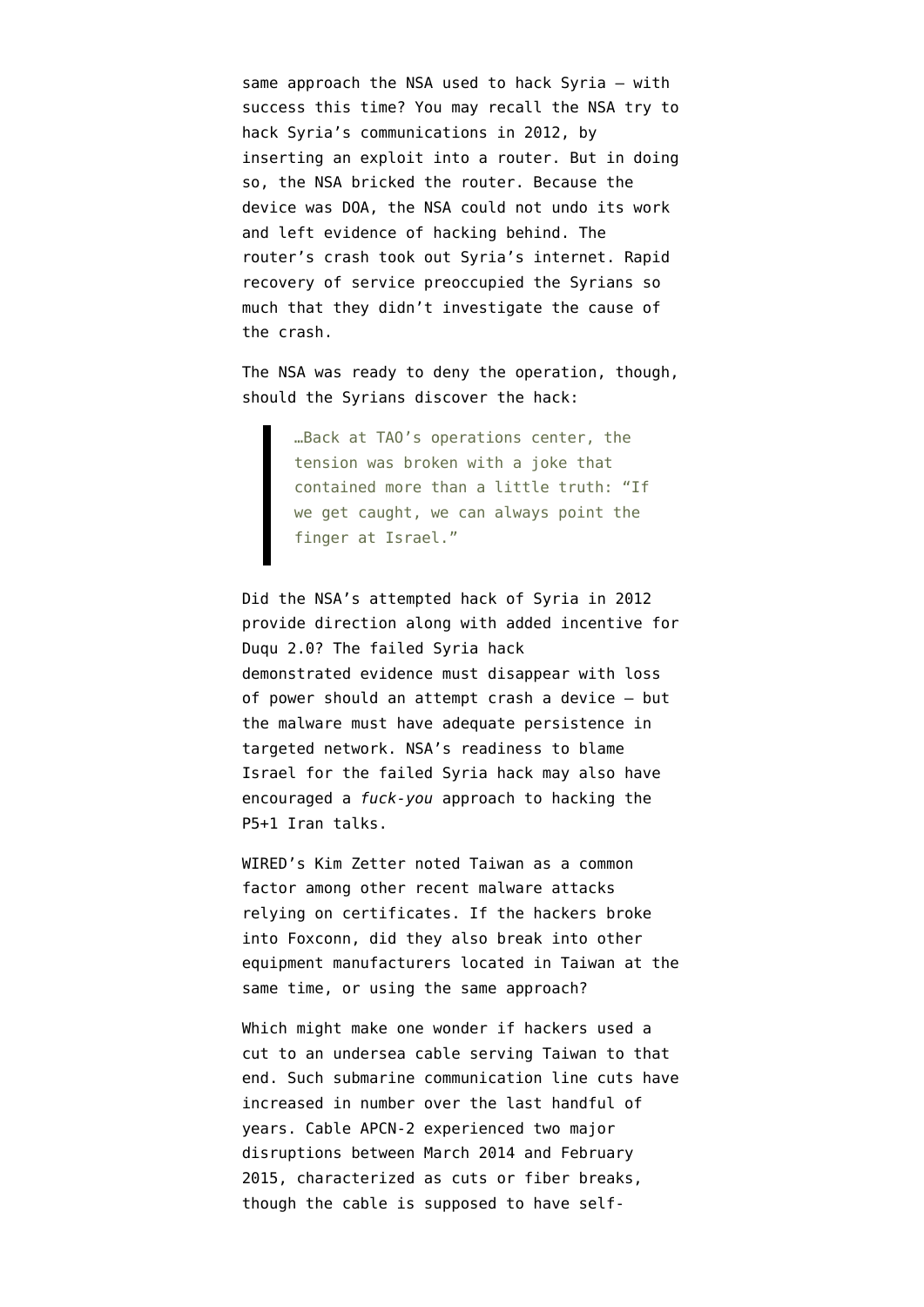same approach the NSA used to hack Syria — with success this time? You may recall the NSA try to hack Syria's communications in 2012, by inserting an exploit into a router. But in doing so, the NSA bricked the router. Because the device was DOA, the NSA could not undo its work and left evidence of hacking behind. The router's crash took out Syria's internet. Rapid recovery of service preoccupied the Syrians so much that they didn't investigate the cause of the crash.

The NSA was [ready to deny the operation,](http://www.wired.com/2014/08/edward-snowden/) though, should the Syrians discover the hack:

> …Back at TAO's operations center, the tension was broken with a joke that contained more than a little truth: "If we get caught, we can always point the finger at Israel."

Did the NSA's attempted hack of Syria in 2012 provide direction along with added incentive for Duqu 2.0? The failed Syria hack demonstrated evidence must disappear with loss of power should an attempt crash a device — but the malware must have adequate persistence in targeted network. NSA's readiness to blame Israel for the failed Syria hack may also have encouraged a *fuck-you* approach to hacking the P5+1 Iran talks.

WIRED's Kim Zetter [noted Taiwan as a common](http://www.wired.com/2015/06/foxconn-hack-kaspersky-duqu-2/) [factor](http://www.wired.com/2015/06/foxconn-hack-kaspersky-duqu-2/) among other recent malware attacks relying on certificates. If the hackers broke into Foxconn, did they also break into other equipment manufacturers located in Taiwan at the same time, or using the same approach?

Which might make one wonder if hackers used a cut to an undersea cable serving Taiwan to that end. Such submarine communication line cuts have [increased in number](http://research.dyn.com/2014/03/beware-the-ides-of-march/) over the last handful of years. Cable [APCN-2 experienced two major](https://en.wikipedia.org/wiki/APCN_2) [disruptions](https://en.wikipedia.org/wiki/APCN_2) between March 2014 and February 2015, characterized as cuts or fiber breaks, though the cable is supposed to have [self-](http://www.submarinenetworks.com/systems/intra-asia/apcn-2)